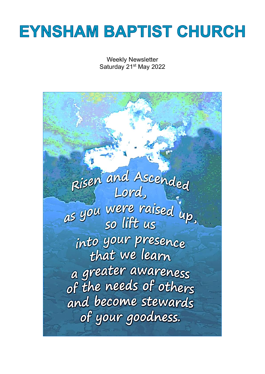# **EYNSHAM BAPTIST CHURCH**

Weekly Newsletter Saturday 21<sup>st</sup> May 2022

Risen and Ascended as you were raised up. into your presence that we learn a greater awareness<br>of the needs of others and become stewards of your goodness.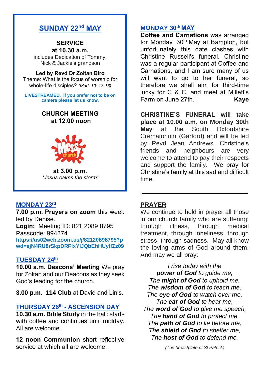# **SUNDAY 22nd MAY**

#### **SERVICE at 10.30 a.m.**

includes Dedication of Tommy, Nick & Jackie's grandson

#### **Led by Revd Dr Zoltan Biro**

Theme: What is the focus of worship for whole-life disciples? *(Mark 10: 13-16)*

**LIVESTREAMED. If you prefer not to be on camera please let us know.**

#### **CHURCH MEETING at 12.00 noon**



**at 3.00 p.m.** *'Jesus calms the storm'*

#### **MONDAY 23 rd**

**7.00 p.m. Prayers on zoom** this week led by Denise. **Login:** Meeting ID: 821 2089 8795 Passcode: 994274 **[https://us02web.zoom.us/j/82120898795?p](https://us02web.zoom.us/j/82120898795?pwd=ejN4RU8rSkpDRFlxYlJQbEhHUytlZz09) [wd=ejN4RU8rSkpDRFlxYlJQbEhHUytlZz09](https://us02web.zoom.us/j/82120898795?pwd=ejN4RU8rSkpDRFlxYlJQbEhHUytlZz09)**

#### **TUESDAY 24th**

**10.00 a.m. Deacons' Meeting** We pray for Zoltan and our Deacons as they seek God's leading for the church.

**3.00 p.m. 114 Club** at David and Lin's.

#### **THURSDAY 26th - ASCENSION DAY**

**10.30 a.m. Bible Study** in the hall: starts with coffee and continues until midday. All are welcome.

**12 noon Communion** short reflective service at which all are welcome.

#### **MONDAY 30th MAY**

**Coffee and Carnations** was arranged for Monday, 30<sup>th</sup> May at Bampton, but unfortunately this date clashes with Christine Russell's funeral. Christine was a regular participant at Coffee and Carnations, and I am sure many of us will want to go to her funeral, so therefore we shall aim for third-time lucky for C & C, and meet at Millett's Farm on June 27th. **Kaye**

**CHRISTINE'S FUNERAL will take place at 10.00 a.m. on Monday 30th May** at the South Oxfordshire Crematorium (Garford) and will be led by Revd Jean Andrews. Christine's friends and neighbours are very welcome to attend to pay their respects and support the family. We pray for Christine's family at this sad and difficult time.

#### **PRAYER**

We continue to hold in prayer all those in our church family who are suffering: through illness, through medical treatment, through loneliness, through stress, through sadness. May all know the loving arms of God around them. And may we all pray:

**\_\_\_\_\_\_\_\_\_\_\_\_\_\_\_\_\_\_\_\_\_\_\_\_\_\_\_\_\_\_\_**

*I rise today with the power of God to guide me, The might of God to uphold me, The wisdom of God to teach me, The eye of God to watch over me, The ear of God to hear me, The word of God to give me speech, The hand of God to protect me, The path of God to lie before me, The shield of God to shelter me, The host of God to defend me.*

*(The breastplate of St Patrick)*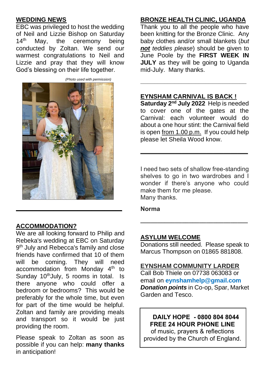#### **WEDDING NEWS**

EBC was privileged to host the wedding of Neil and Lizzie Bishop on Saturday 14<sup>th</sup> May, the ceremony being conducted by Zoltan. We send our warmest congratulations to Neil and Lizzie and pray that they will know God's blessing on their life together.



**ACCOMMODATION?**

We are all looking forward to Philip and Rebeka's wedding at EBC on Saturday 9<sup>th</sup> July and Rebecca's family and close friends have confirmed that 10 of them will be coming. They will need accommodation from Monday 4<sup>th</sup> to Sunday 10<sup>th</sup>July, 5 rooms in total. Is there anyone who could offer a bedroom or bedrooms? This would be preferably for the whole time, but even for part of the time would be helpful. Zoltan and family are providing meals and transport so it would be just providing the room.

Please speak to Zoltan as soon as possible if you can help: **many thanks** in anticipation!

# **BRONZE HEALTH CLINIC, UGANDA**

Thank you to all the people who have been knitting for the Bronze Clinic. Any baby clothes and/or small blankets (*but not teddies please*) should be given to June Poole by the **FIRST WEEK IN JULY** as they will be going to Uganda mid-July. Many thanks.

#### **EYNSHAM CARNIVAL IS BACK !**

**\_\_\_\_\_\_\_\_\_\_\_\_\_\_\_\_\_\_\_\_\_\_\_\_\_\_\_\_\_\_\_**

**Saturday 2nd July 2022** Help is needed to cover one of the gates at the Carnival: each volunteer would do about a one hour stint: the Carnival field is open from 1.00 p.m. If you could help please let Sheila Wood know.

**\_\_\_\_\_\_\_\_\_\_\_\_\_\_\_\_\_\_\_\_\_\_\_\_\_\_\_\_\_\_\_**

I need two sets of shallow free-standing shelves to go in two wardrobes and I wonder if there's anyone who could make them for me please. Many thanks.

**Norma**

#### **ASYLUM WELCOME**

Donations still needed. Please speak to Marcus Thompson on 01865 881808.

**\_\_\_\_\_\_\_\_\_\_\_\_\_\_\_\_\_\_\_\_\_\_\_\_\_\_\_\_\_\_\_**

#### **EYNSHAM COMMUNITY LARDER**

Call Bob Thiele on 07738 063083 or email on **[eynshamhelp@gmail.com](mailto:eynshamhelp@gmail.com)** *Donation points* in Co-op, Spar, Market Garden and Tesco.

# **DAILY HOPE - 0800 804 8044 FREE 24 HOUR PHONE LINE**

of music, prayers & reflections provided by the Church of England.